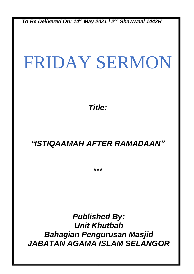*To Be Delivered On: 14th May 2021 l 2 nd Shawwaal 1442H*

# FRIDAY SERMON

*Title:*

## *"ISTIQAAMAH AFTER RAMADAAN"*

*\*\*\**

*Published By: Unit Khutbah Bahagian Pengurusan Masjid JABATAN AGAMA ISLAM SELANGOR*

0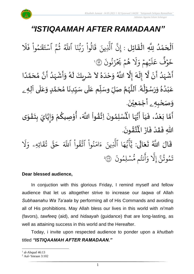#### *Jabatan Agama Islam Selangor*

## *"ISTIQAAMAH AFTER RAMADAAN"*

。<br>♦ اَلْحَمْدُ لِلَّهِ الْقَائِلِ :  $\overline{\phantom{a}}$ ن<br>ا و<br>و 。<br>C  $\overline{\phantom{a}}$  $\frac{1}{2}$ ْ ر<br>آ  $\lambda$  $\ddot{\cdot}$ مُوا فَ ْ و َٰ  $\ddot{\cdot}$ قذ  $\ddot{\phantom{0}}$ اسٌتَ  $\ddot{\phantom{0}}$ ى<br>م ءَ َءَ<br>ٽم و<br>په ِ<br>آھ<br>آلھ ا اللَّهُ  $\ddot{\cdot}$ ن و<br>د بة<br>ب ِ<br>ا الوا رَ <u>ہ</u> و<br>ا  $\ddot{\mathbf{z}}$ ق ِينَ یہ<br>۱ الَّذِ ِ<br>پَ إِن  $\ddot{\cdot}$ نُونَ ُو<br>و  $\ddot{\cdot}$ ز  $\frac{1}{2}$  $\tilde{z}$ هُمْ يَحُ  $\frac{1}{2}$ و<br>م ر<br>1 َل  $\frac{1}{c}$ يثقة وَ  $\frac{1}{2}$  $\ddot{\phantom{0}}$ ر<br>آ  $\uplambda$ ر<br>ح ع وْڤ  $\tilde{\cdot}$ خَوْفُ عَلَيْهِمْ وَلَا هُمْ يُحْزَنُونَ ۞ ا ۔<br>ا أَشْهَدُ أَنْ لَّا إِلَهَ إِلَّا اللَّهُ وَحْدَهُ لاَ شَرِيكَ لَهُ وَأَشْهَدُ أَنَّ مُحَمَّدًا ْ  $\tilde{\mathbf{z}}$ و<br>ا  $\frac{1}{2}$ ْ  $\sum_{i=1}^{n}$ ۔<br>م ์ $\tilde{\cdot}$ ।<br>-<br>-ا<br>ا ً<br>أ ر<br>م ๋<br>ጎ اتا<br>م  $\sum_{i=1}^{n}$ ر<br>ا ً<br>زار<br>ر ْ  $\ddot{\mathbf{z}}$  $\tilde{\cdot}$ ر<br>پر ِ<br>ا ِ  $\ddot{\phantom{0}}$  $\lambda$ ٍ<br>پ ِ<br>ا  $\tilde{\cdot}$ ُ ل و س ر و ه د ب ِه ِل ع ى آ ل ع د و م حَ ا م ِ ِدن ي ى سَ ل ِ م ع ل ِ وسَ ل صَ م ه لل . ا ه <sup>ے</sup> י<br>י و<br>م  $\tilde{\cdot}$  $\tilde{\phantom{a}}$ ُ<br>ُ و<br>ا ؗ<br>֧ ِ<br>م  $\overline{\mathbf{a}}$  $\frac{1}{\sqrt{2}}$  $\tilde{\cdot}$ <u>لم</u> ت<br>م  $\frac{1}{\lambda}$  $\ddot{\phantom{0}}$  $\frac{1}{1}$  $\overline{\mathbf{1}}$  $\frac{1}{2}$ ĭ تا<br>م ر<br>ر<br>ر سنة<br>ا ً<br>آ ر<br>د و*َصَحْبِهِ <sub>۽</sub>* أَجْمَعِيْنَ. ْ  $\ddot{\phantom{0}}$ ់<br>(  $\tilde{\mathbf{a}}$  $\sum_{i=1}^{n}$ ِ<br>أَمَّا بَعْدُ، فَيَا أَيُّهَا الْمُسْلِمُونَ اِتَّقُواْ اللَّهَ، أُوْصِيكُمْ وَإِيَّايَ بِتَقْوَى  $\frac{1}{1}$  $\ddot{\cdot}$ .<br>و ْ  $\ddot{\cdot}$ لة<br>م ֦֪֦֪֦֝֟֝֟֟֟֟֟֟֟֟֟֟֟֟֟֟֟֟֟֟֟֟֕֕֟֓֟֓֕֝֟֓֕֝֟֓֕֝֟֓֕֝֟֓֕֝֟֓֕֝֟֓֕֝֟֓֕֝֟֟֟  $\tilde{\cdot}$ ֦֧֦֧֦֧<u>֦</u>  $\ddot{\phantom{0}}$ <u>ر</u><br>: ان<br>ا  $\sum_{i=1}^n$  $\tilde{\cdot}$ ر<br>مخ י<br>י  $\frac{2}{7}$ ֦֧֦֧֦֧֦֧֦֧֦֧֦֧֦֧֦֧֦֧֦֧֦֧֦֧֦֧<br>**֧ ہیں** الله  $\ddot{\phantom{0}}$ ُ<br>ለ أَيُّهَا الْمُ ِ<br>أم ُ<br>ُلا  $\tilde{\mathbf{r}}$ .  $\ddot{\phantom{0}}$ ؾٞڡٞۛ۠ۅڹؘ **ہیں** ا<br>اب ُْ اللّٰهِ فَقَدْ فَازَ الْمُ  $\ddot{\cdot}$  $\ddot{\cdot}$ ْ  $\frac{1}{2}$  $\ddot{\cdot}$ قَالَ اللَّهُ تَعَالَى: ً<br>ا  $\ddot{\bullet}$  $\frac{1}{2}$  $\ddot{\mathbf{r}}$ َ َل ِ<br>م اتِهِۦ و  $\tilde{\mathbf{z}}$ ق ت و<br>په ِ<br>په قی  $\overline{\phantom{a}}$ ح ِ<br>آک قُوا اللَّهَ ْ ور ِ<br>په نُوا اڌّ ْ ُ  $\frac{1}{2}$ ام  $\tilde{\epsilon}$ ء ِينَ یہ<br>۱ ا الَّذِ ر<br>م ه و<br>د سَ<br>ڊ ۔<br>ج أ َ<br>د بد  $\ddot{\cdot}$ سُلِمُونَ و  $\ddot{\phantom{0}}$ و<br>مم نتُم مَّ و<br>په ِ<br>ج أ ِ<br>م و ىد<br>1 َِل إ ِ<br>پر تَمُوثُنَّ إِلَّا وَأَنتُم مُّسۡلِمُونَ ۞ و<br>په و 2

#### **Dear blessed audience,**

In conjuction with this glorious Friday, I remind myself and fellow audience that let us altogether strive to increase our *taqwa* of Allah *Subhaanahu Wa Ta'aala* by performing all of His Commands and avoiding all of His prohibitions. May Allah bless our lives in this world with *ni'mah* (favors), *tawfeeq* (aid), and *hidaayah* (guidance) that are long-lasting, as well as attaining success in this world and the Hereafter.

Today, i invite upon respected audience to ponder upon a *khutbah* titled *"ISTIQAAMAH AFTER RAMADAAN."*

 $<sup>1</sup>$  al-Ahqaaf 46:13</sup>

<sup>2</sup> Aal-'Imraan 3:102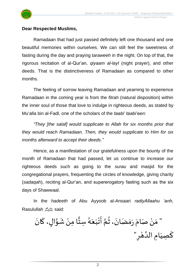

#### **Dear Respected Muslims,**

Ramadaan that had just passed definitely left one thousand and one beautiful memories within ourselves. We can still feel the sweetness of fasting during the day and praying *taraweeh* in the night. On top of that, the rigorous recitation of al-Qur'an, *qiyaam al-layl* (night prayer), and other deeds. That is the distinctiveness of Ramadaan as compared to other months.

The feeling of sorrow leaving Ramadaan and yearning to experience Ramadaan in the coming year is from the *fitrah* (natural disposition) within the inner soul of those that love to indulge in righteous deeds, as stated by Mu'alla bin al-Fadl, one of the scholars of the *taabi' taabi'een*:

*"They [the salaf] would supplicate to Allah for six months prior that they would reach Ramadaan. Then, they would supplicate to Him for six months afterward to accept their deeds."* 

Hence, as a manifestation of our gratefulness upon the bounty of the month of Ramadaan that had passed, let us continue to increase our righteous deeds such as going to the *surau* and masjid for the congregational prayers, frequenting the circles of knowledge, giving charity (*sadaqah*), reciting al-Qur'an, and supererogatory fasting such as the six days of Shawwaal.

In the *hadeeth* of Abu Ayyoob al-Ansaari *radiyAllaahu 'anh*, Rasulullah صلى الله عليه وسلمsaid:

" مَنْ صَامَ رَمَضَانَ، ثُمَّ أَتْبَعَهُ سِتًّا مِنْ شَوَّالٍ، كَانَ َ  $\frac{1}{1}$ ْ  $\frac{1}{2}$ ن<br>م ُ<br>ُ  $\ddot{\phantom{0}}$  $\frac{1}{2}$  $\ddot{\phantom{0}}$  $\frac{1}{2}$ ْ  $\frac{1}{2}$  $\ddot{\phantom{0}}$ َ ؚ<br>إ ن<br>م  $\frac{1}{2}$ ْ ً<br>پانا<br>\* كَصِيَامِ الدَّهْرِ" َ ์<br>-<br>-י<br>**י** اتا<br>ا ।<br>।<br>।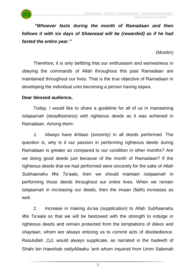

*"Whoever fasts during the month of Ramadaan and then follows it with six days of Shawwaal will be (rewarded) as if he had fasted the entire year."*

(Muslim)

Therefore, it is only befitting that our enthusiasm and earnestness in obeying the commands of Allah throughout this past Ramadaan are maintained throughout our lives. That is the true objective of Ramadaan in developing the individual unto becoming a person having *taqwa*.

#### **Dear blessed audience,**

Today, I would like to share a guideline for all of us in maintaining *istiqaamah* (steadfastness) with righteous deeds as it was achieved in Ramadaan. Among them:

1. Always have *ikhlaas* (sincerity) in all deeds performed. The question is, why is it our passion in performing righteous deeds during Ramadaan is greater as compared to our condition in other months? Are we doing good deeds just because of the month of Ramadaan? If the righteous deeds that we had performed were sincerely for the sake of Allah *Subhaanahu Wa Ta'aala*, then we should maintain *istiqaamah* in performing those deeds throughout our entire lives. When we remain *istiqaamah* in increasing our deeds, then the *imaan* (faith) increases as well.

2. Increase in making *du'aa* (supplication) to Allah *Subhaanahu Wa Ta'aala* so that we will be bestowed with the strength to indulge in righteous deeds and remain protected from the temptations of *iblees* and *shaytaan*, whom are always enticing us to commit acts of disobedience. Rasulullah صلى الله عليه وسلم would always supplicate, as narrated in the *hadeeth* of Shahr bin Hawshab *radiyAllaahu 'anh* whom inquired from Umm Salamah

3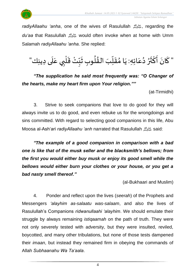



 *Jabatan Agama Islam Selangor*

*radiyAllaahu 'anha*, one of the wives of Rasulullah صلى الله عليه وسلم, regarding the *du'aa* that Rasulullah صلى الله عليه وسلم would often invoke when at home with Umm Salamah *radiyAllaahu 'anha*. She replied:

" كَانَ أَكْثَرُ دُعَائِهِ: يَا مُقَلِّبَ القُلُوبِ ثَبِّتْ قَلْبِي عَلَى دِينِك"  $\mathbf{r}$  $\frac{1}{2}$  $\frac{1}{2}$ ់<br>**រ**  $\frac{1}{2}$ ِتْ  $\frac{1}{1}$ كَانَ أَكْثَرُ دُعَائِهِ: يَا مُقَلِّبَ القُلُوبِ ثَبِّ  $\frac{1}{2}$ ُ<br>ا  $\frac{9}{4}$  $\frac{1}{\sqrt{2}}$  $\frac{1}{2}$ <sub>ያ</sub><br>ሳ  $\ddot{\phantom{0}}$ .<br>م  $\frac{1}{2}$ و<br>پ•  $\ddot{\phantom{0}}$ بة<br>أ ؚ<br>م  $\frac{1}{2}$  $\ddot{\phantom{0}}$ ์<br>-<br>-

*"The supplication he said most frequently was: "O Changer of the hearts, make my heart firm upon Your religion.""*

(at-Tirmidhi)

3. Strive to seek companions that love to do good for they will always invite us to do good, and even rebuke us for the wrongdoings and sins committed. With regard to selecting good companions in this life, Abu Moosa al-Ash'ari *radiyAllaahu 'anh* narrated that Rasulullah صلى الله عليه وسلمsaid:

*"The example of a good companion in comparison with a bad one is like that of the musk seller and the blacksmith's bellows; from the first you would either buy musk or enjoy its good smell while the bellows would either burn your clothes or your house, or you get a bad nasty smell thereof."*

(al-Bukhaari and Muslim)

4. Ponder and reflect upon the lives (*seerah*) of the Prophets and Messengers *'alayhim as-salaatu was-salaam*, and also the lives of Rasulullah's Companions *ridwanullaahi 'alayhim*. We should emulate their struggle by always remaining *istiqaamah* on the path of truth. They were not only severely tested with adversity, but they were insulted, reviled, boycotted, and many other tribulations, but none of those tests dampened their *imaan*, but instead they remained firm in obeying the commands of Allah *Subhaanahu Wa Ta'aala*.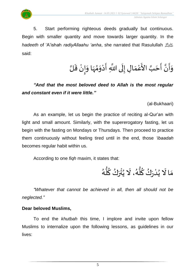



5. Start performing righteous deeds gradually but continuous. Begin with smaller quantity and move towards larger quantity. In the *hadeeth* of 'A'ishah *radiyAllaahu 'anha*, she narrated that Rasulullah صلى الله عليه وسلم said:

> بَّ الأَعْمَالِ إِلَى اللَّهِ أَدْوَمُهَا وَإِنْ قَلَّ  $\frac{1}{2}$ ْ  $\frac{1}{2}$  $\frac{1}{2}$  $\frac{1}{2}$  $\frac{1}{\lambda}$  $\frac{1}{2}$ ْ  $\frac{1}{2}$  $\tilde{\cdot}$ ل  $\frac{1}{2}$  $\frac{1}{\alpha}$ ْ<br>م ِ<br>ع .<br>من ح أ ن أ و  $\frac{1}{2}$ بة<br>•  $\frac{1}{2}$  $\frac{1}{2}$

### *"And that the most beloved deed to Allah is the most regular and constant even if it were little."*

(al-Bukhaari)

As an example, let us begin the practice of reciting al-Qur'an with light and small amount. Similarly, with the supererogatory fasting, let us begin with the fasting on Mondays or Thursdays. Then proceed to practice them continuously without feeling tired until in the end, those *'ibaadah* becomes regular habit within us.

According to one *fiqh* maxim, it states that:

 $\frac{1}{2}$ مَا لَا يُدْرَكُ كُلَّهُ، لَا يُتْرَكُ كُلَّهُ  $\tilde{\mathbf{r}}$ ُ<br>پ **ٔ**  $\overline{\phantom{a}}$ و<br>و و<br>م ہ<br>ما و<br>گ  $\tilde{\mathbf{r}}$ ُ<br>پ ْ ە<br>ت  $\frac{1}{2}$ و<br>و <u>ہ</u> ہ<br>ما ر<br>گ

*"Whatever that cannot be achieved in all, then all should not be neglected."*

#### **Dear beloved Muslims,**

To end the *khutbah* this time, I implore and invite upon fellow Muslims to internalize upon the following lessons, as guidelines in our lives: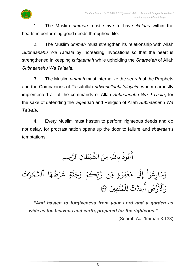1. The Muslim *ummah* must strive to have *ikhlaas* within the hearts in performing good deeds throughout life.

2. The Muslim *ummah* must strengthen its relationship with Allah *Subhaanahu Wa Ta'aala* by increasing invocations so that the heart is strengthened in keeping *istiqaamah* while upholding the *Sharee'ah* of Allah *Subhaanahu Wa Ta'aala*.

3. The Muslim *ummah* must internalize the *seerah* of the Prophets and the Companions of Rasulullah *ridwanullaahi 'alayhim* whom earnestly implemented all of the commands of Allah *Subhaanahu Wa Ta'aala*, for the sake of defending the *'aqeedah* and Religion of Allah *Subhaanahu Wa Ta'aala*.

4. Every Muslim must hasten to perform righteous deeds and do not delay, for procrastination opens up the door to failure and *shaytaan's* temptations.

> ِجِيمِ ىر<br>م ِن الر ا  $\tilde{\phantom{a}}$ ط ي **ٔ** ু<br>\* لَّهِ مِنَ الشَّ عُوذُ بِاللَّهِ و<br>په و<br>م ِ<br>ع أ

و<br>مو َٰت َ وَا َٰ  $\overline{\phantom{a}}$ حَمْد ِ<br>سَ ا السَّ ِ<br>م ر<sup>ُ</sup>ضُهَ و<br>په  $\ddot{\phantom{0}}$ ِ<br>م ة ع ٍ ِ<br>په نة<br>با  $\tilde{\phantom{a}}$ ج ِ<br>م ڪُمُ وَ  $\frac{1}{2}$ و بد<br>و ب<br>ب ِ<br>پن ِن ر ىد<br>م ة<br>قائم ِ<br>م فِر غ  $\ddot{\phantom{0}}$ ِ<br>م ر<br>م  $\tilde{1}$ إِلَىٰ **ٔ** ا  $\frac{1}{\epsilon}$ ارِعُوٓ و<br>م ِ<br>م سر<br>سد  $\frac{1}{2}$ و قِنيَ َّ ت م لِل تۡ َّ و ہ<br>آ رْضُ آعِدَّ و<br>م أ ُ ہ<br>آگ وَٱلۡأَرۡضُ أُعِدَّتۡ لِلۡمُتَّقِينَ ۞

*"And hasten to forgiveness from your Lord and a garden as wide as the heavens and earth, prepared for the righteous."*

(Soorah Aal-'Imraan 3:133)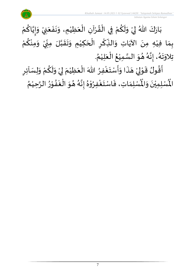*Jabatan Agama Islam Selangor*



<u>ر</u> أَقُولُ قَوْلِيْ هَذَا وَأَسْتَغْفِرُ اللّٰهَ الْعَظِيْمَ لِيْ وَلَكُمْ وَلِسَاَئِرِ إ إ ፟<br>∕ ري<br>لْمُسْلِمَاتِ، فَاسْتَغْفِرُوْهُ إِنَّهُ هُوَ الْغَفُوْرُ الرَّحِيْمُ ំ<br>រ ان<br>م  $\frac{1}{\lambda}$ י<br>י  $\frac{1}{2}$ ∫<br>∙ ر<br>ف  $\frac{1}{2}$  $\frac{1}{2}$ ء<br>لم ن<br>ب ।<br>-<br>- $\frac{1}{\lambda}$ י<br>י ،<br>∙ ْ  $\ddot{\phantom{0}}$  $\frac{1}{2}$  $\frac{1}{2}$ ر<br>لْمُسْلِمِيْنَ وَالْمُ  $\tilde{\cdot}$  $\ddot{\phantom{0}}$ ំ<br><sup>•</sup> الْم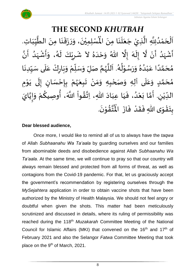

#### **Dear blessed audience,**

Once more, I would like to remind all of us to always have the *taqwa* of Allah *Subhaanahu Wa Ta'aala* by guarding ourselves and our families from abominable deeds and disobedience against Allah *Subhaanahu Wa Ta'aala*. At the same time, we will continue to pray so that our country will always remain blessed and protected from all forms of threat, as well as contagions from the Covid-19 pandemic. For that, let us graciously accept the government's recommendation by registering ourselves through the *MySejahtera* application in order to obtain vaccine shots that have been authorized by the Ministry of Health Malaysia. We should not feel angry or doubtful when given the shots. This matter had been meticulously scrutinized and discussed in details, where its ruling of permissibility was reached during the 118<sup>th</sup> *Muzakarah* Committee Meeting of the National Council for Islamic Affairs (MKI) that convened on the 16<sup>th</sup> and 17<sup>th</sup> of February 2021 and also the Selangor *Fatwa* Committee Meeting that took place on the 9<sup>th</sup> of March, 2021.

8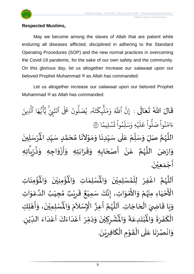

#### **Respected Muslims,**

May we become among the slaves of Allah that are patient while enduring all diseases afflicted, disciplined in adhering to the Standard Operating Procedures (SOP) and the new normal practices in overcoming the Covid-19 pandemic, for the sake of our own safety and the community. On this glorious day, let us altogether increase our *salawaat* upon our beloved Prophet Muhammad  $\equiv$  as Allah has commanded:

Let us altogether increase our *salawaat* upon our beloved Prophet Muhammad  $\ddot{\text{m}}$  as Allah has commanded:

قَالَ اللّهُ تَعَالَى : إِنَّ ٱللَّهَ وَمَلِّيكَتَهُو يُصَلُّونَ عَلَى ٱلتَّبِيَّ يَأْتُهَا ٱلَّذِينَ  $\ddot{\phantom{0}}$  $\overline{\phantom{a}}$  $\frac{1}{2}$  $\frac{1}{2}$ یہ<br>1 ا الَّذِ ِ<br>م ه و<br>د يت<br>ب ِ<br>ج  $\overline{\mathcal{L}}$ ِ<br>د ِّيِّ<br>تَّـمِّ لَّـ .<br>تَ عَلَى ٱلنَّ ون و<br>ا و<br>٩و يُصَلُّ ُو و<br>ط  $\ddot{\cdot}$ ت ر<br>م ِك ئ بر<br>آ  $\uplambda$ ِ<br>م ے<br>م  $\frac{1}{2}$ و ِ<br>آک اللَّهَ ِ<br>په ِن إ و و<br>ا م<br>نُواْ صَلَّ ْ ُ ِ<br>م ام َ<br>ء ءَامَنُوا صَلُوا عَلَيْهِ وَسَلِمُوا تَسْلِيمًا  $\frac{2}{\lambda}$ ي<br>تسلِيمًا ت ْ وا ِم و<br>م ں<br>آ ل ِ<br>س ر<br>سد ِ<br>ہ يُهِ وَ,  $\ddot{\phantom{0}}$ ر<br>آ  $\uplambda$ ِ<br>م ا عَلَيْهِ وَسَلِمُوا تَسْلِيمًا ۞ ْ اللَّهُمَّ صَلِّ وَسَلِّمْ عَلَى سَيِّدِنَا وَمَوْلاَنَا مُحَمَّدٍ سَيِّدِ الْمُرْسَلِينَ  $\ddot{\phantom{0}}$ ْ  $\mathbf{r}^{\circ}$ للَّهُمَّ صَلِّ وَسَلِّمْ عَلَى سَيِّدِنَا وَمَوْلاَنَا مُحَمَّدٍ سَيِّدِ الْمُ  $\frac{1}{1}$  $\frac{1}{2}$ <u>ل</u> تا<br>م  $\overline{\phantom{a}}$  $\frac{1}{2}$  $\mathbf{r}$  $\sim$ ֦֧֝<br>֧<u>֝</u>  $\frac{1}{2}$  $\tilde{\phantom{a}}$  $\ddot{\phantom{0}}$  $\frac{1}{1}$ َ .<br>م ْ ر<br>س  $\frac{1}{2}$  $\frac{1}{2}$ تا<br>ح ر<br>ر<br>ر ا<br>آ ِ ِه .<br>اتر .<br>تا ُضَ اللَّهُمَّ عَنْ أَصْحَابِهِ وَقَرَابَتِهِ وَأَزْوَاجِهِ وَذُرِّدٍّ  $\frac{1}{\sqrt{2}}$ ر ا<br>ڊ  $\frac{1}{2}$  $\frac{1}{2}$ ا<br>وف  $\frac{1}{2}$  $\frac{1}{2}$  $\ddot{\phantom{0}}$  $\frac{1}{2}$  $\frac{1}{2}$  $\frac{1}{2}$ َ ا<br>پنج ْ '<br>م ن<br>م ر<br>ر<br>ر ا<br>الم اڑ  $\frac{1}{2}$ و  $\ddot{\phantom{0}}$ أَجْمَعِيْنَ. ់<br>**់**  $\frac{1}{\lambda}$ ْ  $\frac{1}{2}$ 

ِ<br>اَللَّهُمَّ اغْفِرْ لِلْمُسْلِمِيْنَ وَالْمُسْلِمَاتِ وَالْمُؤْمِنِيْنَ وَالْمُؤْمِنَاتِ ›<br>ል ֦֧֦֧֦֧֦֧֦֧֦֧֦֦֦֧֦֜֜<br>֧֜֜֜֜֜֜֜֜֜֜֜֜֜֜֜֞֟ **ٔ** ن<br>م ر<br>ر<br>ر ا<br>آ ً<br>آ  $\ddot{\phantom{0}}$ ْ<br>بِ ُْ ُؤْمِنِيْنَ ۖ وَالْمُ  $\frac{1}{2}$  $\ddot{\phantom{0}}$ ْ ْ<br>بِ ُْ ِ<br>لْمُسْلِمَاتِ وَالْمُ  $\frac{1}{2}$  $\frac{1}{\sqrt{2}}$ يْنَ وَالْمُسْلِمَاتِ وَالْمُؤْمِنِيْنَ وَالْمُؤْمِنَاتِ  $\frac{1}{2}$  $\ddot{\phantom{0}}$ ْ أُحْيَاءِ َ ْ َ ْ الْأَحْيَاءِ مِنْهُمْ وَالأَمْوَاتِ، إِنَّكَ سَمِيْعٌ قَرِيْبٌ مُجِيْبُ الدَّعَوَاتِ <u>់</u> ُ<br>بو ْ  $\ddot{\ }$ ់<br>។ ں<br>ج  $\frac{1}{2}$ ِ<br>م ان<br>ا ُ ْ ๋<br>ጎ ه<br>**د،** ي ر ق <u>ر</u>  $\ddot{\mathbf{r}}$ ٌ ، إِنَّكَ سَمِيْعٌ ֦֧֦֦֧֝<u>֦</u> لة<br>• ।<br>-<br>-ِّ حَسَّةٍ عِلَيْهِمْ الْسَلَّامِ وَسَاءٍ عَلَيْهِمْ أَعِزَّ الْإِسْلاَمَ وَالْمُسْلِمِيْنَ، وَأَهْلِكِ<br>وَيَا قَاضِيَ الْحَاجَاتِ. اَللَّهُمَّ أَعِزَّ الْإِسْلاَمَ وَالْمُسْلِمِيْنَ، وَأَهْلِكِ  $\overline{\phantom{a}}$ ֦֧֦֧֦֧֦֧֦֧֦֧֦֧֦֧<br>**֡**  $\frac{1}{2}$ ์<br>:<br>:  $\ddot{\phantom{0}}$ י<br>**י**  $\frac{1}{2}$  $\tilde{\cdot}$  $\ddot{\phantom{0}}$ ْ اَللَّهُمَّ أَعِزَّ الْإِسْلاَمَ وَالْمُ  $\frac{1}{2}$ .<br>د  $\tilde{\zeta}$ .<br>م بة —<br>ج ن<br>م و<br>ر<br>ر ا<br>آ ۔<br>آ  $\ddot{\phantom{0}}$ ت ب ْ ُ<br>مو الْكَفَرَةَ وَالْمُبْتَدِعَةَ وَالْمُشْرِكِيْنَ وَدَمِّرْ أَعْدَاءَكَ أَعْدَاءَ الدِّيْنِ.  $\frac{1}{2}$  $\frac{1}{2}$  $\frac{1}{2}$  $\frac{1}{2}$ .<br>س بر<br>ر ِ ٝ<br>ؙ  $\frac{1}{1}$  $\frac{1}{2}$ ا<br>ا<br>ا ۔<br>م  $\frac{1}{2}$ َ<br>و  $\frac{1}{2}$ ا<br>-<br>ا ْ َ ّ<br>ْ  $\frac{1}{\lambda}$  $\sim$  $\frac{1}{2}$  $\ddot{\phantom{0}}$ ٝ<br>ا <u>ر</u> ْ  $\ddot{\hat{}}$ لبِعَةَ وَالْمُ  $\tilde{\cdot}$  $\ddot{ }$ .<br>م .  $\ddot{\phantom{0}}$ وَانْصُرْنَا عَلَى الْقَوْمِ الْكَافِرِيْنَ ٝ<br>ۣ<br>ؙ رِ ์<br>-<br>-`<br>ا **→** ֦֧<sup>֦</sup>  $\frac{1}{2}$ ِّ<br>ا  $\overline{\phantom{a}}$ .<br>م ्<br>।<br>• । ْ و<br>د ْ  $\frac{1}{2}$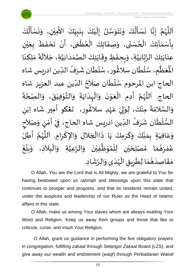

ِ<br>اَللَّهُمَّ إِنَّا نَسْأَلُكَ وَنَتَوَسَّلُ إِلَيْكَ بِنَبِيِّكَ الأَمِيْنِ، وَنَسْأَلُكَ ُ<br>اُ∱  $\ddot{\cdot}$  $\ddot{\phantom{0}}$  $\frac{1}{2}$ ْ َ<br>ج  $\frac{1}{1}$  $\frac{1}{2}$  $\frac{1}{2}$  $\ddot{\phantom{0}}$ <u>دِ</u> ֦֦֦֦֦֦֦֝֝֝֝֝֝**֦**  $\tilde{\mathbf{r}}$  $\frac{1}{2}$ ا<br>ما  $\frac{1}{2}$  $\frac{1}{2}$  $\ddot{\phantom{0}}$  $\frac{1}{2}$ ُمُ<br>ا  $\frac{1}{2}$  $\ddot{\phantom{0}}$ ن<br>•<br>•  $\frac{1}{2}$ ن<br>م و<br>ر<br>ر ا<br>آ  $\overline{\phantom{a}}$ ْ .<br>بِأَسْمَآئِكَ الْحُسْنَى، وَصِفَاتِكَ الْعُظُمَى، أَنْ تَحْفَظَ بِعَيْنِ  $\frac{1}{2}$ ั<br>ก ֦֧֦֧֦֧֦֧֦֧֦֧֦֧֦֧֦֧֦֧֦֧֝֝֟֓֓֝<br>**֧** }<br>• ֦֧֦֧֦֧֦֧<br>֧֝֜֜֜֜֜  $\ddot{\bullet}$  $\frac{1}{2}$  $\ddot{\phantom{0}}$ ر<br>د ֦֧֦֧֦֧֦֧֦֧֦֧֦֧֦֧֦֟֓֓֓֟֓֟֓֟֓֟֓֟֓֟֓<br>֧ׅ֜֜֜֜֜֜֜֜֜֜֜֜֜֬֟ ์ -<br>-<br>-<u>ر</u> ْ ي َ  $\frac{1}{\sqrt{2}}$  $\ddot{\cdot}$ −<br>→<br>◆  $\ddot{\cdot}$ ِ<br>عِنَايَتِكَ الرَّبَّانِيَّةِ، وَبِحِفْظِ وِقَايَتِكَ الصَّمَدَانِيَّةِ، جَلاَلَةَ مَلِكِنَا ِ<br>ای  $\sim$ ات<br>ا  $\frac{1}{1}$  $\frac{1}{2}$ اتا<br>در  $\ddot{\phantom{0}}$ ر<br>پود ້<br>:  $\frac{1}{2}$  $\frac{1}{2}$ اتا<br>ا ن<br>تار<br>۱ انہ<br>م  $\ddot{\phantom{0}}$  $\ddot{\phantom{0}}$  $\ddot{\phantom{0}}$  $\frac{1}{2}$ ُعَظَّمِ، سُلْطَان سلَاڠُور، سُلْطَان شَرَفُ الدِّين ادريس شاه  $\frac{1}{1}$ ُ  $\mathbf{r}$ م<br>م ់<br>វ ُ<br>م )<br>፟ ے۔<br>م ة<br>أ ُ<br>ُ' ر<br>انگل َ ر<br>مو الْم الحاج ابن المرحوم سُلْطَان صَلاَحُ الدِّين عبد العزيز شاه  $\frac{1}{2}$ ُ ।<br>र ۔<br>ا ا<br>ا ر<br>رہ َ الحاج. اَللَّهُمَّ أَدِمِ الْعَوْنَ وَالْبِدَايَةَ وَالتَّوْفِيْقَ، وَ ن<br>م و<br>ر<br>ر ا<br>الم ،<br>آ  $\ddot{\cdot}$ ة ان<br>م ِ<br>الصِّحَّ  $\frac{1}{2}$  $\ddot{\phantom{0}}$ ْ י<br>י انا  $\frac{1}{2}$  $\ddot{\phantom{0}}$  $\ddot{\phantom{0}}$ ا<br>ا ֫<br>֟֟֟**֝**  $\frac{1}{2}$  $\ddot{\phantom{0}}$ י<br>י  $\overline{\phantom{a}}$ ֦֧֦֧֦֧֦֧֦֧֦֧֦֟֜֜֓֟֓֟֓<br>֧ׅ֝֜֜֜֜֜֜֜֜֜֓֬֟֓֟ ।<br>।<br>। ى<br>وَالسَّلامَةَ مِنْكَ، لِوَلِيِّ عَہْدِ سلاڠُور، تَعْكُو أَمِير شَاه اِبْنِ ؙ<br>ؙ  $\frac{1}{2}$ َ )<br>ፌ ٝ<br>ۣ<br>ؙ َ<br>م .<br>.<br>. .<br>بر إ  $\frac{1}{2}$ ْ  $\ddot{\phantom{0}}$  $\frac{1}{2}$ ان<br>ما  $\frac{1}{2}$ ।<br>इ م<br>ح  $\tilde{\phantom{a}}$ السُّلْطَان شَرَفُ الدِّين ادريس شاه الحاج، فِيْ أَمْنٍ وَصَلاَ  $\frac{1}{2}$ ر<br>! י<br>י اً<br>∶َأَبَّ ْ ۔<br>س ُ ِرِ<br>په  $\mathbf{r}$ ْ<br>أ  $\frac{3}{4}$ وَعَافِيَةٍ بِمَنَّكَ وَكَرَمِكَ يَا ذَاالْجَلالِ وَالإِكْرَامِ. اَ  $\frac{1}{2}$  $\overline{\phantom{a}}$ ا<br>ا .<br>با  $\ddot{\phantom{0}}$ َ  $\frac{1}{2}$  $\frac{\nu}{\sqrt{2}}$  $\frac{1}{\lambda}$  $\sum_{i=1}^{n}$ َ .<br>م  $\frac{1}{2}$ للَّهُمَّ أَطِلُّ ا<br>:<br>: י<br>מ ُ<br>وفر<br>م م<br>تار<br>ا  $\overline{\phantom{a}}$ ।<br>∕ ا<br>م ້<br><u>່</u> غ  $\frac{1}{2}$ بلّ  $\frac{1}{2}$ لِحَيْنِ لِلْمُوَظَّفِيْنَ وَالرَّعِيَّةِ وَالْبِلاَدِ، وَ  $\sim$ ֦֧<u>֚</u>  $\frac{1}{2}$ ة<br>م ان<br>ا  $\tilde{\cdot}$  $\ddot{\phantom{0}}$ ْ ا<br>ا  $\frac{1}{2}$ ,<br>ለ ْ ْ ة<br>4  $\overline{\phantom{a}}$ صْ ا م  $\frac{1}{2}$  $\frac{1}{2}$ م ์<br>ይ<br>አ و<br>کھ رَ ់<br>្ ه<br>م و<br>م ع مَقَاصِدَهُمَا لِطَرِيقِ الْهُدَى وَالْرَّشَادِ. ์ $\frac{1}{2}$  $\frac{1}{2}$ م<br>ا و<br>ر<br>ر ֦֧֦֧֦֧<br>֧֩ ِ ً<br>نام  $\frac{1}{2}$ )<br>**ይ**  $\frac{1}{1}$  $\frac{1}{2}$  $\frac{1}{2}$ 

O Allah, You are the Lord that is All Mighty, we are grateful to You for having bestowed upon us *rahmah* and blessings upon this state that continues to prosper and progress, and that its residents remain united, under the auspices and leadership of our Ruler as the Head of Islamic affairs in this state.

O Allah, make us among Your slaves whom are always exalting Your Word and Religion. Keep us away from groups and those that like to criticize, curse, and insult Your Religion.

O Allah, grant us guidance in performing the five obligatory prayers in congregation, fulfilling *zakaat* through Selangor *Zakaat* Board (LZS), and give away our wealth and endowment (*waqf*) through *Perbadanan Wakaf*